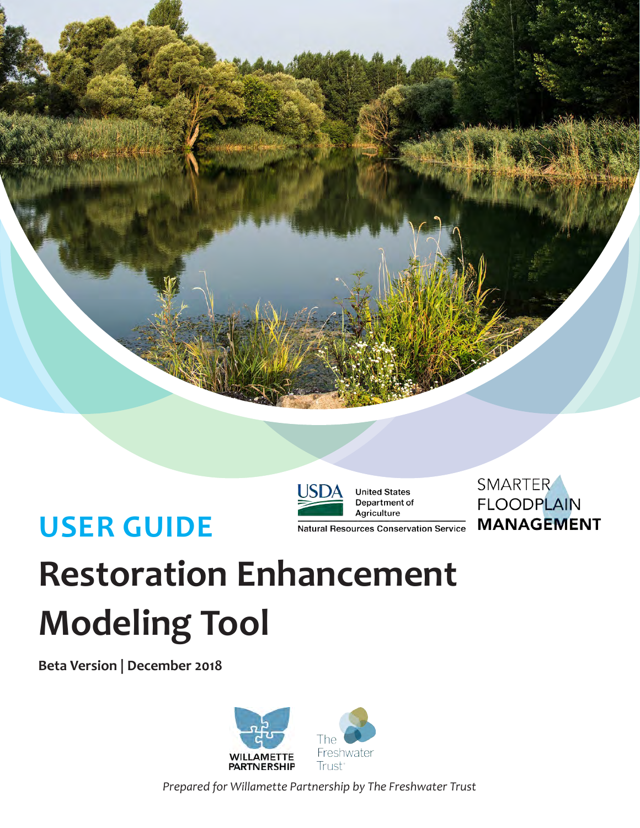



**United States** Department of Agriculture

**Natural Resources Conservation Service** 

SMARTER **FLOODPLAIN MANAGEMENT** 

# **USER GUIDE**

**Restoration Enhancement Modeling Tool**

**Beta Version | December 2018**



*Prepared for Willamette Partnership by The Freshwater Trust*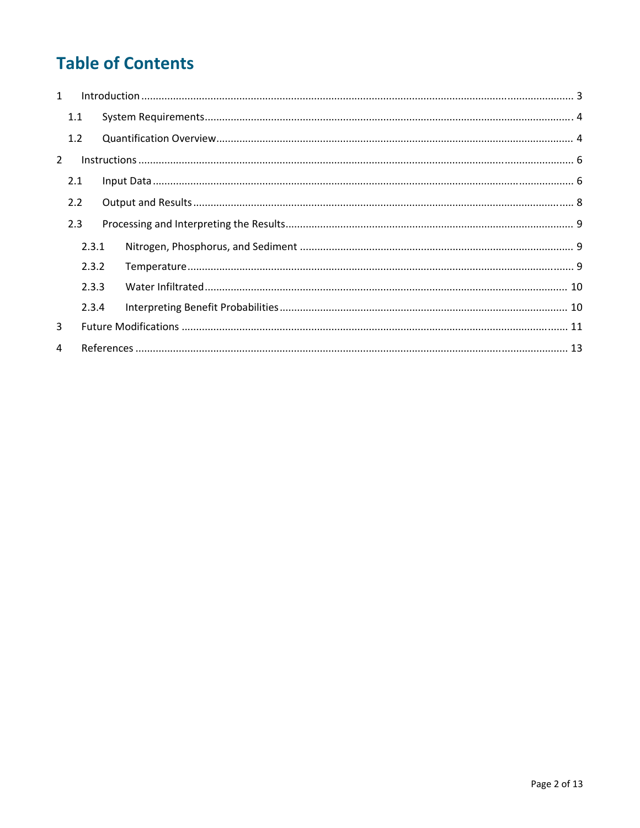# **Table of Contents**

| $\mathbf{1}$   |                |       |  |  |  |  |  |
|----------------|----------------|-------|--|--|--|--|--|
|                | 1.1            |       |  |  |  |  |  |
|                | 1.2            |       |  |  |  |  |  |
| $\overline{2}$ |                |       |  |  |  |  |  |
|                | 2.1            |       |  |  |  |  |  |
| 2.2            |                |       |  |  |  |  |  |
|                | 2.3            |       |  |  |  |  |  |
|                |                | 2.3.1 |  |  |  |  |  |
|                | 2.3.2<br>2.3.3 |       |  |  |  |  |  |
|                |                |       |  |  |  |  |  |
|                |                | 2.3.4 |  |  |  |  |  |
| 3              |                |       |  |  |  |  |  |
| 4              |                |       |  |  |  |  |  |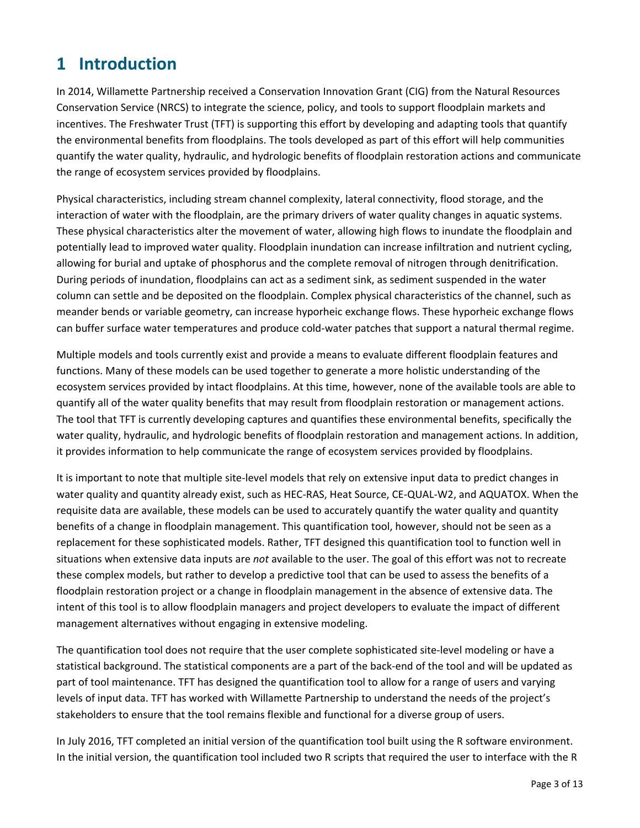# **1 Introduction**

In 2014, Willamette Partnership received a Conservation Innovation Grant (CIG) from the Natural Resources Conservation Service (NRCS) to integrate the science, policy, and tools to support floodplain markets and incentives. The Freshwater Trust (TFT) is supporting this effort by developing and adapting tools that quantify the environmental benefits from floodplains. The tools developed as part of this effort will help communities quantify the water quality, hydraulic, and hydrologic benefits of floodplain restoration actions and communicate the range of ecosystem services provided by floodplains.

Physical characteristics, including stream channel complexity, lateral connectivity, flood storage, and the interaction of water with the floodplain, are the primary drivers of water quality changes in aquatic systems. These physical characteristics alter the movement of water, allowing high flows to inundate the floodplain and potentially lead to improved water quality. Floodplain inundation can increase infiltration and nutrient cycling, allowing for burial and uptake of phosphorus and the complete removal of nitrogen through denitrification. During periods of inundation, floodplains can act as a sediment sink, as sediment suspended in the water column can settle and be deposited on the floodplain. Complex physical characteristics of the channel, such as meander bends or variable geometry, can increase hyporheic exchange flows. These hyporheic exchange flows can buffer surface water temperatures and produce cold‐water patches that support a natural thermal regime.

Multiple models and tools currently exist and provide a means to evaluate different floodplain features and functions. Many of these models can be used together to generate a more holistic understanding of the ecosystem services provided by intact floodplains. At this time, however, none of the available tools are able to quantify all of the water quality benefits that may result from floodplain restoration or management actions. The tool that TFT is currently developing captures and quantifies these environmental benefits, specifically the water quality, hydraulic, and hydrologic benefits of floodplain restoration and management actions. In addition, it provides information to help communicate the range of ecosystem services provided by floodplains.

It is important to note that multiple site-level models that rely on extensive input data to predict changes in water quality and quantity already exist, such as HEC‐RAS, Heat Source, CE‐QUAL‐W2, and AQUATOX. When the requisite data are available, these models can be used to accurately quantify the water quality and quantity benefits of a change in floodplain management. This quantification tool, however, should not be seen as a replacement for these sophisticated models. Rather, TFT designed this quantification tool to function well in situations when extensive data inputs are *not* available to the user. The goal of this effort was not to recreate these complex models, but rather to develop a predictive tool that can be used to assess the benefits of a floodplain restoration project or a change in floodplain management in the absence of extensive data. The intent of this tool is to allow floodplain managers and project developers to evaluate the impact of different management alternatives without engaging in extensive modeling.

The quantification tool does not require that the user complete sophisticated site‐level modeling or have a statistical background. The statistical components are a part of the back‐end of the tool and will be updated as part of tool maintenance. TFT has designed the quantification tool to allow for a range of users and varying levels of input data. TFT has worked with Willamette Partnership to understand the needs of the project's stakeholders to ensure that the tool remains flexible and functional for a diverse group of users.

In July 2016, TFT completed an initial version of the quantification tool built using the R software environment. In the initial version, the quantification tool included two R scripts that required the user to interface with the R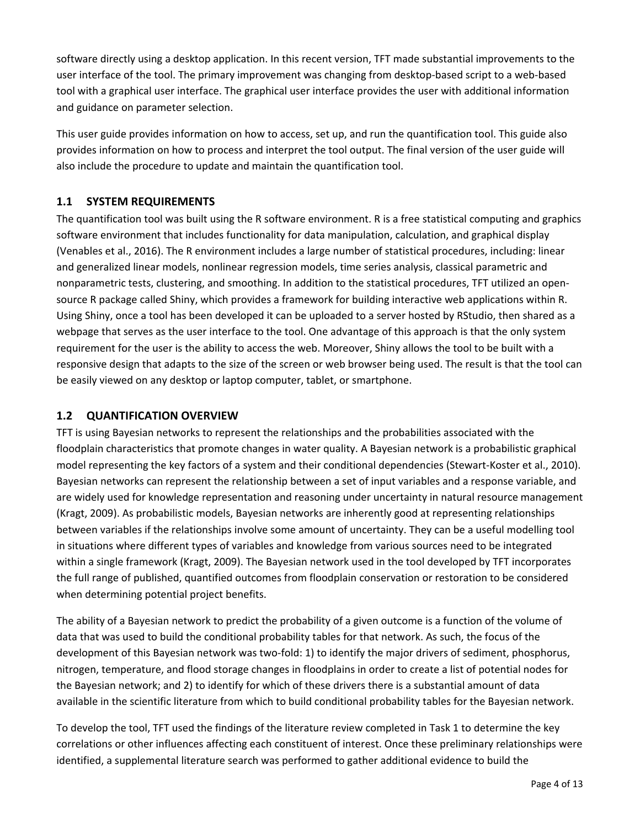software directly using a desktop application. In this recent version, TFT made substantial improvements to the user interface of the tool. The primary improvement was changing from desktop-based script to a web-based tool with a graphical user interface. The graphical user interface provides the user with additional information and guidance on parameter selection.

This user guide provides information on how to access, set up, and run the quantification tool. This guide also provides information on how to process and interpret the tool output. The final version of the user guide will also include the procedure to update and maintain the quantification tool.

### **1.1 SYSTEM REQUIREMENTS**

The quantification tool was built using the R software environment. R is a free statistical computing and graphics software environment that includes functionality for data manipulation, calculation, and graphical display (Venables et al., 2016). The R environment includes a large number of statistical procedures, including: linear and generalized linear models, nonlinear regression models, time series analysis, classical parametric and nonparametric tests, clustering, and smoothing. In addition to the statistical procedures, TFT utilized an open‐ source R package called Shiny, which provides a framework for building interactive web applications within R. Using Shiny, once a tool has been developed it can be uploaded to a server hosted by RStudio, then shared as a webpage that serves as the user interface to the tool. One advantage of this approach is that the only system requirement for the user is the ability to access the web. Moreover, Shiny allows the tool to be built with a responsive design that adapts to the size of the screen or web browser being used. The result is that the tool can be easily viewed on any desktop or laptop computer, tablet, or smartphone.

### **1.2 QUANTIFICATION OVERVIEW**

TFT is using Bayesian networks to represent the relationships and the probabilities associated with the floodplain characteristics that promote changes in water quality. A Bayesian network is a probabilistic graphical model representing the key factors of a system and their conditional dependencies (Stewart-Koster et al., 2010). Bayesian networks can represent the relationship between a set of input variables and a response variable, and are widely used for knowledge representation and reasoning under uncertainty in natural resource management (Kragt, 2009). As probabilistic models, Bayesian networks are inherently good at representing relationships between variables if the relationships involve some amount of uncertainty. They can be a useful modelling tool in situations where different types of variables and knowledge from various sources need to be integrated within a single framework (Kragt, 2009). The Bayesian network used in the tool developed by TFT incorporates the full range of published, quantified outcomes from floodplain conservation or restoration to be considered when determining potential project benefits.

The ability of a Bayesian network to predict the probability of a given outcome is a function of the volume of data that was used to build the conditional probability tables for that network. As such, the focus of the development of this Bayesian network was two‐fold: 1) to identify the major drivers of sediment, phosphorus, nitrogen, temperature, and flood storage changes in floodplains in order to create a list of potential nodes for the Bayesian network; and 2) to identify for which of these drivers there is a substantial amount of data available in the scientific literature from which to build conditional probability tables for the Bayesian network.

To develop the tool, TFT used the findings of the literature review completed in Task 1 to determine the key correlations or other influences affecting each constituent of interest. Once these preliminary relationships were identified, a supplemental literature search was performed to gather additional evidence to build the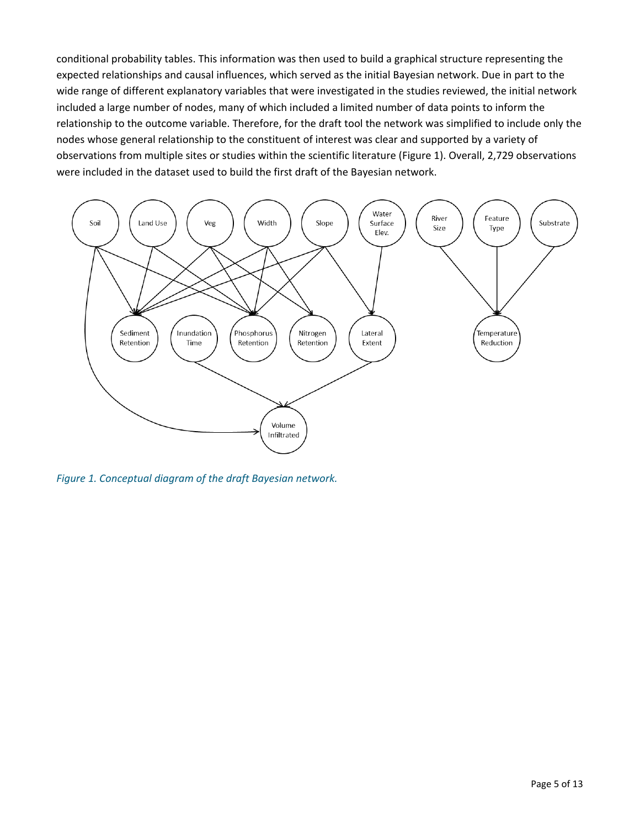conditional probability tables. This information was then used to build a graphical structure representing the expected relationships and causal influences, which served as the initial Bayesian network. Due in part to the wide range of different explanatory variables that were investigated in the studies reviewed, the initial network included a large number of nodes, many of which included a limited number of data points to inform the relationship to the outcome variable. Therefore, for the draft tool the network was simplified to include only the nodes whose general relationship to the constituent of interest was clear and supported by a variety of observations from multiple sites or studies within the scientific literature (Figure 1). Overall, 2,729 observations were included in the dataset used to build the first draft of the Bayesian network.



*Figure 1. Conceptual diagram of the draft Bayesian network.*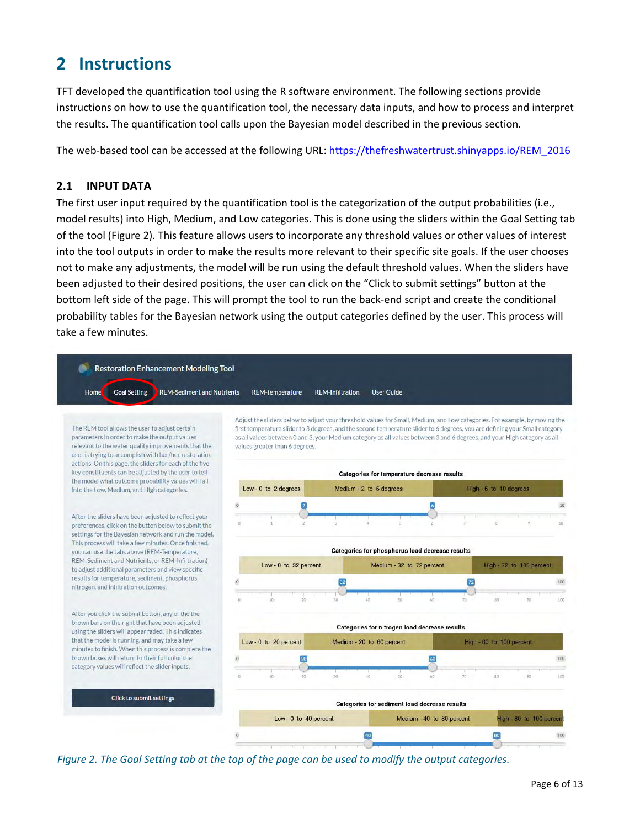# **2 Instructions**

TFT developed the quantification tool using the R software environment. The following sections provide instructions on how to use the quantification tool, the necessary data inputs, and how to process and interpret the results. The quantification tool calls upon the Bayesian model described in the previous section.

The web-based tool can be accessed at the following URL: https://thefreshwatertrust.shinyapps.io/REM\_2016

### **2.1 INPUT DATA**

The first user input required by the quantification tool is the categorization of the output probabilities (i.e., model results) into High, Medium, and Low categories. This is done using the sliders within the Goal Setting tab of the tool (Figure 2). This feature allows users to incorporate any threshold values or other values of interest into the tool outputs in order to make the results more relevant to their specific site goals. If the user chooses not to make any adjustments, the model will be run using the default threshold values. When the sliders have been adjusted to their desired positions, the user can click on the "Click to submit settings" button at the bottom left side of the page. This will prompt the tool to run the back‐end script and create the conditional probability tables for the Bayesian network using the output categories defined by the user. This process will take a few minutes.



Figure 2. The Goal Setting tab at the top of the page can be used to modify the output categories.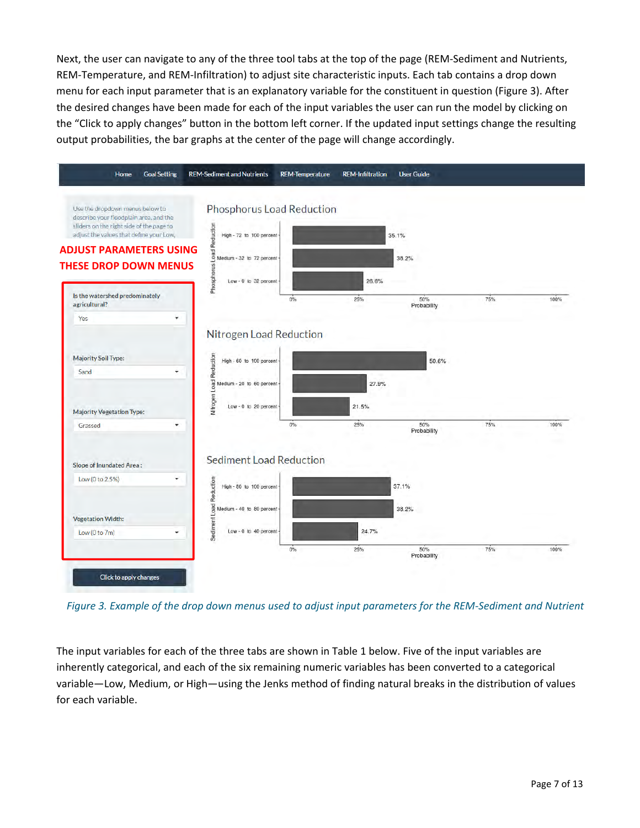Next, the user can navigate to any of the three tool tabs at the top of the page (REM‐Sediment and Nutrients, REM-Temperature, and REM-Infiltration) to adjust site characteristic inputs. Each tab contains a drop down menu for each input parameter that is an explanatory variable for the constituent in question (Figure 3). After the desired changes have been made for each of the input variables the user can run the model by clicking on the "Click to apply changes" button in the bottom left corner. If the updated input settings change the resulting output probabilities, the bar graphs at the center of the page will change accordingly.



Figure 3. Example of the drop down menus used to adjust input parameters for the REM-Sediment and Nutrient

The input variables for each of the three tabs are shown in Table 1 below. Five of the input variables are inherently categorical, and each of the six remaining numeric variables has been converted to a categorical variable—Low, Medium, or High—using the Jenks method of finding natural breaks in the distribution of values for each variable.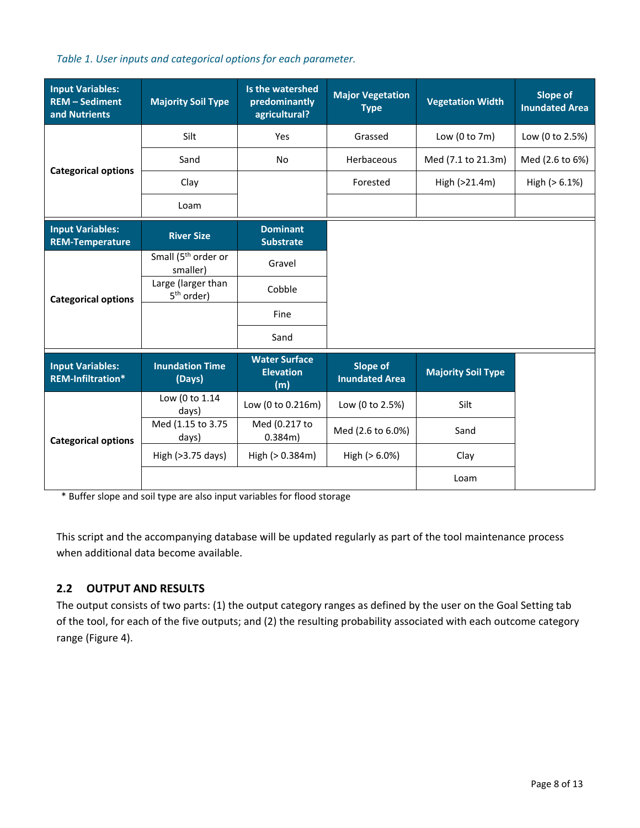#### *Table 1. User inputs and categorical options for each parameter.*

| <b>Input Variables:</b><br><b>REM - Sediment</b><br>and Nutrients | <b>Majority Soil Type</b>                    | Is the watershed<br>predominantly<br>agricultural? | <b>Major Vegetation</b><br><b>Type</b>   | <b>Vegetation Width</b>   | <b>Slope of</b><br><b>Inundated Area</b> |
|-------------------------------------------------------------------|----------------------------------------------|----------------------------------------------------|------------------------------------------|---------------------------|------------------------------------------|
|                                                                   | Silt                                         | Yes                                                | Grassed                                  | Low $(0 to 7m)$           | Low (0 to 2.5%)                          |
|                                                                   | Sand                                         | No                                                 | Herbaceous                               | Med (7.1 to 21.3m)        | Med (2.6 to 6%)                          |
| <b>Categorical options</b>                                        | Clay                                         |                                                    | Forested                                 | High (>21.4m)             | High $(> 6.1%)$                          |
|                                                                   | Loam                                         |                                                    |                                          |                           |                                          |
| <b>Input Variables:</b><br><b>REM-Temperature</b>                 | <b>River Size</b>                            | <b>Dominant</b><br><b>Substrate</b>                |                                          |                           |                                          |
|                                                                   | Small (5 <sup>th</sup> order or<br>smaller)  | Gravel                                             |                                          |                           |                                          |
| <b>Categorical options</b>                                        | Large (larger than<br>5 <sup>th</sup> order) | Cobble                                             |                                          |                           |                                          |
|                                                                   |                                              | Fine                                               |                                          |                           |                                          |
|                                                                   |                                              | Sand                                               |                                          |                           |                                          |
| <b>Input Variables:</b><br>REM-Infiltration*                      | <b>Inundation Time</b><br>(Days)             | <b>Water Surface</b><br><b>Elevation</b><br>(m)    | <b>Slope of</b><br><b>Inundated Area</b> | <b>Majority Soil Type</b> |                                          |
|                                                                   | Low (0 to 1.14<br>days)                      | Low (0 to 0.216m)                                  | Low (0 to 2.5%)                          | Silt                      |                                          |
| <b>Categorical options</b>                                        | Med (1.15 to 3.75<br>days)                   | Med (0.217 to<br>$0.384m$ )                        | Med (2.6 to 6.0%)                        | Sand                      |                                          |
|                                                                   | High (>3.75 days)                            | High (> 0.384m)                                    | High $(> 6.0%)$                          | Clay                      |                                          |
|                                                                   |                                              |                                                    |                                          | Loam                      |                                          |

\* Buffer slope and soil type are also input variables for flood storage

This script and the accompanying database will be updated regularly as part of the tool maintenance process when additional data become available.

### **2.2 OUTPUT AND RESULTS**

The output consists of two parts: (1) the output category ranges as defined by the user on the Goal Setting tab of the tool, for each of the five outputs; and (2) the resulting probability associated with each outcome category range (Figure 4).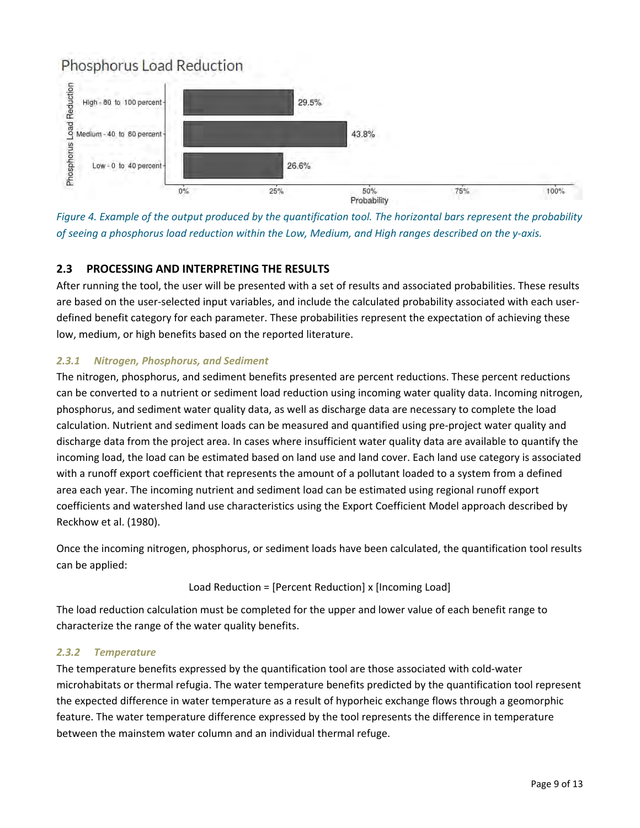### Phosphorus Load Reduction



Figure 4. Example of the output produced by the quantification tool. The horizontal bars represent the probability of seeing a phosphorus load reduction within the Low, Medium, and High ranges described on the y-axis.

### **2.3 PROCESSING AND INTERPRETING THE RESULTS**

After running the tool, the user will be presented with a set of results and associated probabilities. These results are based on the user-selected input variables, and include the calculated probability associated with each userdefined benefit category for each parameter. These probabilities represent the expectation of achieving these low, medium, or high benefits based on the reported literature.

### *2.3.1 Nitrogen, Phosphorus, and Sediment*

The nitrogen, phosphorus, and sediment benefits presented are percent reductions. These percent reductions can be converted to a nutrient or sediment load reduction using incoming water quality data. Incoming nitrogen, phosphorus, and sediment water quality data, as well as discharge data are necessary to complete the load calculation. Nutrient and sediment loads can be measured and quantified using pre‐project water quality and discharge data from the project area. In cases where insufficient water quality data are available to quantify the incoming load, the load can be estimated based on land use and land cover. Each land use category is associated with a runoff export coefficient that represents the amount of a pollutant loaded to a system from a defined area each year. The incoming nutrient and sediment load can be estimated using regional runoff export coefficients and watershed land use characteristics using the Export Coefficient Model approach described by Reckhow et al. (1980).

Once the incoming nitrogen, phosphorus, or sediment loads have been calculated, the quantification tool results can be applied:

### Load Reduction = [Percent Reduction] x [Incoming Load]

The load reduction calculation must be completed for the upper and lower value of each benefit range to characterize the range of the water quality benefits.

### *2.3.2 Temperature*

The temperature benefits expressed by the quantification tool are those associated with cold‐water microhabitats or thermal refugia. The water temperature benefits predicted by the quantification tool represent the expected difference in water temperature as a result of hyporheic exchange flows through a geomorphic feature. The water temperature difference expressed by the tool represents the difference in temperature between the mainstem water column and an individual thermal refuge.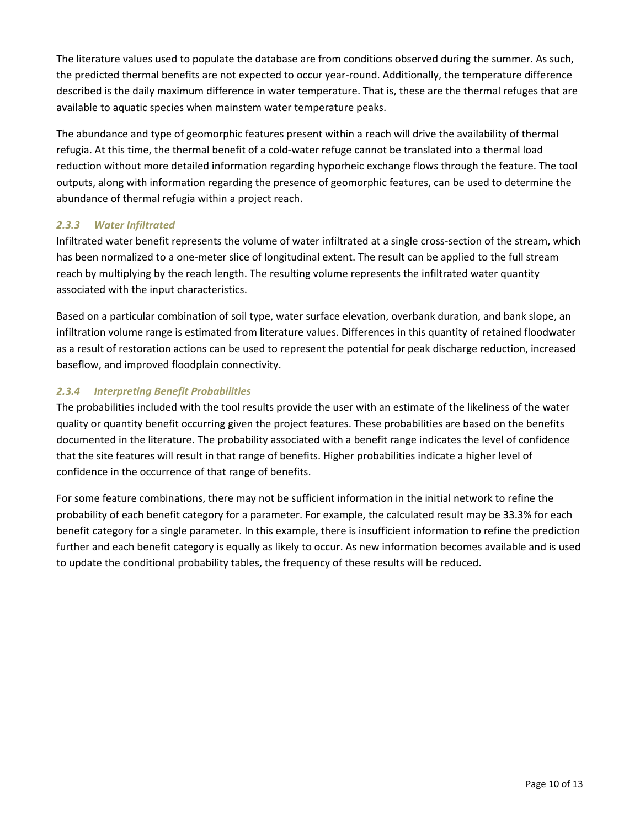The literature values used to populate the database are from conditions observed during the summer. As such, the predicted thermal benefits are not expected to occur year‐round. Additionally, the temperature difference described is the daily maximum difference in water temperature. That is, these are the thermal refuges that are available to aquatic species when mainstem water temperature peaks.

The abundance and type of geomorphic features present within a reach will drive the availability of thermal refugia. At this time, the thermal benefit of a cold‐water refuge cannot be translated into a thermal load reduction without more detailed information regarding hyporheic exchange flows through the feature. The tool outputs, along with information regarding the presence of geomorphic features, can be used to determine the abundance of thermal refugia within a project reach.

### *2.3.3 Water Infiltrated*

Infiltrated water benefit represents the volume of water infiltrated at a single cross-section of the stream, which has been normalized to a one-meter slice of longitudinal extent. The result can be applied to the full stream reach by multiplying by the reach length. The resulting volume represents the infiltrated water quantity associated with the input characteristics.

Based on a particular combination of soil type, water surface elevation, overbank duration, and bank slope, an infiltration volume range is estimated from literature values. Differences in this quantity of retained floodwater as a result of restoration actions can be used to represent the potential for peak discharge reduction, increased baseflow, and improved floodplain connectivity.

#### *2.3.4 Interpreting Benefit Probabilities*

The probabilities included with the tool results provide the user with an estimate of the likeliness of the water quality or quantity benefit occurring given the project features. These probabilities are based on the benefits documented in the literature. The probability associated with a benefit range indicates the level of confidence that the site features will result in that range of benefits. Higher probabilities indicate a higher level of confidence in the occurrence of that range of benefits.

For some feature combinations, there may not be sufficient information in the initial network to refine the probability of each benefit category for a parameter. For example, the calculated result may be 33.3% for each benefit category for a single parameter. In this example, there is insufficient information to refine the prediction further and each benefit category is equally as likely to occur. As new information becomes available and is used to update the conditional probability tables, the frequency of these results will be reduced.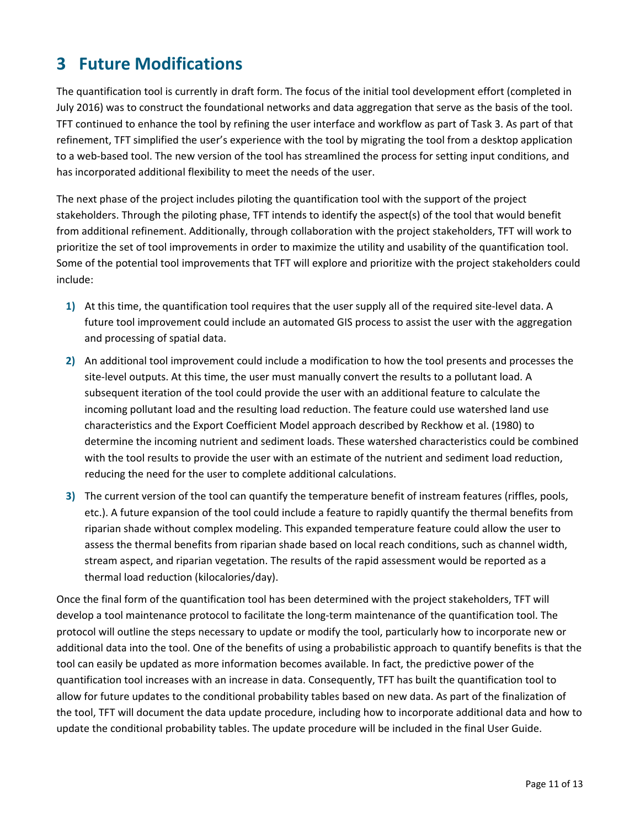# **3 Future Modifications**

The quantification tool is currently in draft form. The focus of the initial tool development effort (completed in July 2016) was to construct the foundational networks and data aggregation that serve as the basis of the tool. TFT continued to enhance the tool by refining the user interface and workflow as part of Task 3. As part of that refinement, TFT simplified the user's experience with the tool by migrating the tool from a desktop application to a web-based tool. The new version of the tool has streamlined the process for setting input conditions, and has incorporated additional flexibility to meet the needs of the user.

The next phase of the project includes piloting the quantification tool with the support of the project stakeholders. Through the piloting phase, TFT intends to identify the aspect(s) of the tool that would benefit from additional refinement. Additionally, through collaboration with the project stakeholders, TFT will work to prioritize the set of tool improvements in order to maximize the utility and usability of the quantification tool. Some of the potential tool improvements that TFT will explore and prioritize with the project stakeholders could include:

- **1)** At this time, the quantification tool requires that the user supply all of the required site‐level data. A future tool improvement could include an automated GIS process to assist the user with the aggregation and processing of spatial data.
- **2)** An additional tool improvement could include a modification to how the tool presents and processes the site‐level outputs. At this time, the user must manually convert the results to a pollutant load. A subsequent iteration of the tool could provide the user with an additional feature to calculate the incoming pollutant load and the resulting load reduction. The feature could use watershed land use characteristics and the Export Coefficient Model approach described by Reckhow et al. (1980) to determine the incoming nutrient and sediment loads. These watershed characteristics could be combined with the tool results to provide the user with an estimate of the nutrient and sediment load reduction, reducing the need for the user to complete additional calculations.
- **3)** The current version of the tool can quantify the temperature benefit of instream features (riffles, pools, etc.). A future expansion of the tool could include a feature to rapidly quantify the thermal benefits from riparian shade without complex modeling. This expanded temperature feature could allow the user to assess the thermal benefits from riparian shade based on local reach conditions, such as channel width, stream aspect, and riparian vegetation. The results of the rapid assessment would be reported as a thermal load reduction (kilocalories/day).

Once the final form of the quantification tool has been determined with the project stakeholders, TFT will develop a tool maintenance protocol to facilitate the long-term maintenance of the quantification tool. The protocol will outline the steps necessary to update or modify the tool, particularly how to incorporate new or additional data into the tool. One of the benefits of using a probabilistic approach to quantify benefits is that the tool can easily be updated as more information becomes available. In fact, the predictive power of the quantification tool increases with an increase in data. Consequently, TFT has built the quantification tool to allow for future updates to the conditional probability tables based on new data. As part of the finalization of the tool, TFT will document the data update procedure, including how to incorporate additional data and how to update the conditional probability tables. The update procedure will be included in the final User Guide.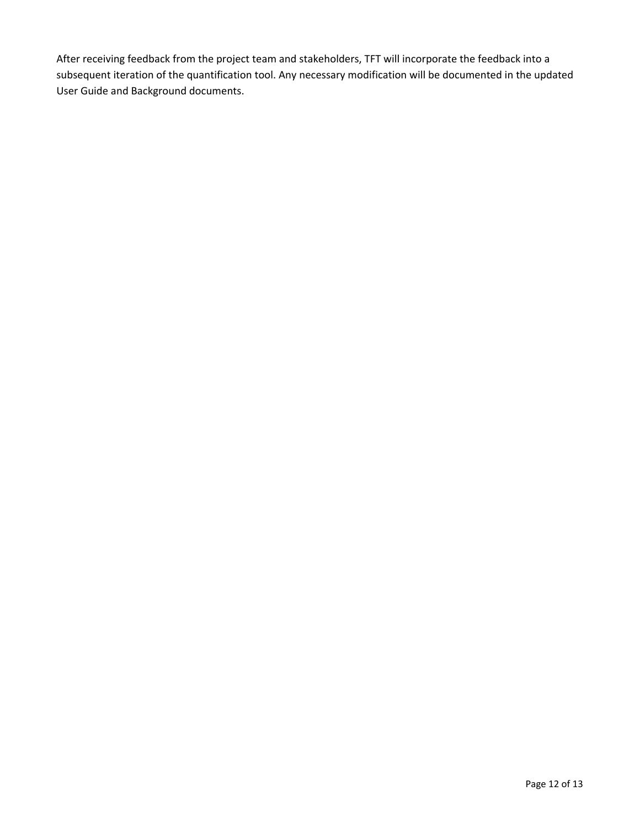After receiving feedback from the project team and stakeholders, TFT will incorporate the feedback into a subsequent iteration of the quantification tool. Any necessary modification will be documented in the updated User Guide and Background documents.